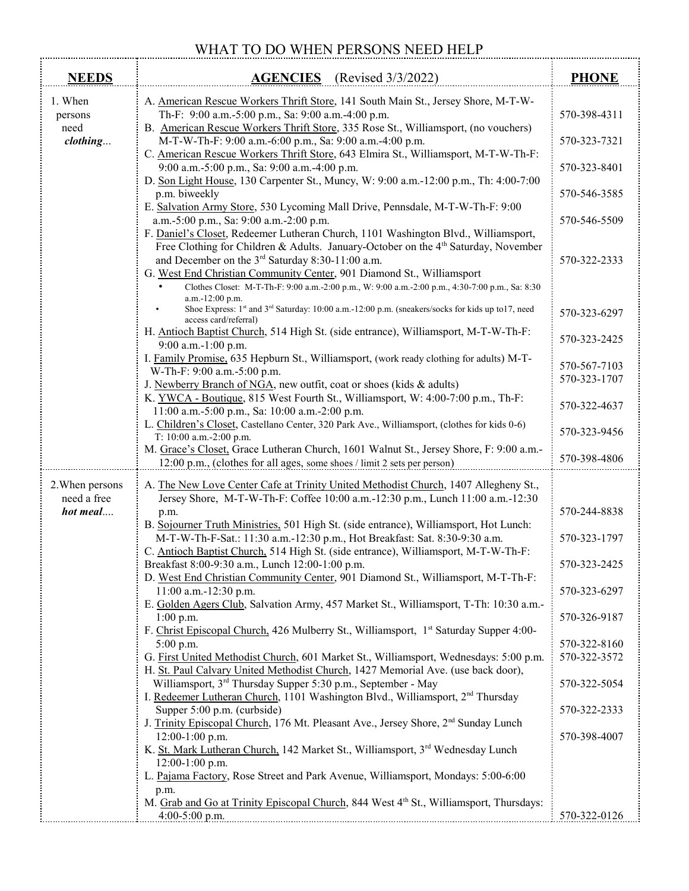## WHAT TO DO WHEN PERSONS NEED HELP

| <b>NEEDS</b>            | <b>AGENCIES</b><br>(Revised 3/3/2022)                                                                                                                                                                                                    | <b>PHONE</b>                 |
|-------------------------|------------------------------------------------------------------------------------------------------------------------------------------------------------------------------------------------------------------------------------------|------------------------------|
| 1. When<br>persons      | A. American Rescue Workers Thrift Store, 141 South Main St., Jersey Shore, M-T-W-<br>Th-F: 9:00 a.m.-5:00 p.m., Sa: 9:00 a.m.-4:00 p.m.                                                                                                  | 570-398-4311                 |
| need<br>clothing        | B. American Rescue Workers Thrift Store, 335 Rose St., Williamsport, (no vouchers)<br>M-T-W-Th-F: 9:00 a.m.-6:00 p.m., Sa: 9:00 a.m.-4:00 p.m.<br>C. American Rescue Workers Thrift Store, 643 Elmira St., Williamsport, M-T-W-Th-F:     | 570-323-7321                 |
|                         | 9:00 a.m.-5:00 p.m., Sa: 9:00 a.m.-4:00 p.m.<br>D. Son Light House, 130 Carpenter St., Muncy, W: 9:00 a.m.-12:00 p.m., Th: 4:00-7:00                                                                                                     | 570-323-8401                 |
|                         | p.m. biweekly<br>E. Salvation Army Store, 530 Lycoming Mall Drive, Pennsdale, M-T-W-Th-F: 9:00                                                                                                                                           | 570-546-3585                 |
|                         | a.m.-5:00 p.m., Sa: 9:00 a.m.-2:00 p.m.                                                                                                                                                                                                  | 570-546-5509                 |
|                         | F. Daniel's Closet, Redeemer Lutheran Church, 1101 Washington Blvd., Williamsport,<br>Free Clothing for Children & Adults. January-October on the 4 <sup>th</sup> Saturday, November                                                     |                              |
|                         | and December on the 3 <sup>rd</sup> Saturday 8:30-11:00 a.m.<br>G. West End Christian Community Center, 901 Diamond St., Williamsport<br>Clothes Closet: M-T-Th-F: 9:00 a.m.-2:00 p.m., W: 9:00 a.m.-2:00 p.m., 4:30-7:00 p.m., Sa: 8:30 | 570-322-2333                 |
|                         | a.m.-12:00 p.m.<br>Shoe Express: 1 <sup>st</sup> and 3 <sup>rd</sup> Saturday: 10:00 a.m.-12:00 p.m. (sneakers/socks for kids up to17, need<br>access card/referral)                                                                     | 570-323-6297                 |
|                         | H. Antioch Baptist Church, 514 High St. (side entrance), Williamsport, M-T-W-Th-F:<br>9:00 a.m.-1:00 p.m.                                                                                                                                | 570-323-2425                 |
|                         | I. Family Promise, 635 Hepburn St., Williamsport, (work ready clothing for adults) M-T-<br>W-Th-F: 9:00 a.m.-5:00 p.m.                                                                                                                   | 570-567-7103                 |
|                         | J. Newberry Branch of NGA, new outfit, coat or shoes (kids & adults)<br>K. YWCA - Boutique, 815 West Fourth St., Williamsport, W: 4:00-7:00 p.m., Th-F:                                                                                  | 570-323-1707                 |
|                         | 11:00 a.m.-5:00 p.m., Sa: 10:00 a.m.-2:00 p.m.<br>L. Children's Closet, Castellano Center, 320 Park Ave., Williamsport, (clothes for kids 0-6)                                                                                           | 570-322-4637                 |
|                         | T: 10:00 a.m.-2:00 p.m.<br>M. Grace's Closet, Grace Lutheran Church, 1601 Walnut St., Jersey Shore, F: 9:00 a.m.-<br>12:00 p.m., (clothes for all ages, some shoes / limit 2 sets per person)                                            | 570-323-9456<br>570-398-4806 |
| 2. When persons         | A. The New Love Center Cafe at Trinity United Methodist Church, 1407 Allegheny St.,                                                                                                                                                      |                              |
| need a free<br>hot meal | Jersey Shore, M-T-W-Th-F: Coffee 10:00 a.m.-12:30 p.m., Lunch 11:00 a.m.-12:30<br>p.m.                                                                                                                                                   | 570-244-8838                 |
|                         | B. Sojourner Truth Ministries, 501 High St. (side entrance), Williamsport, Hot Lunch:<br>M-T-W-Th-F-Sat.: 11:30 a.m.-12:30 p.m., Hot Breakfast: Sat. 8:30-9:30 a.m.                                                                      | 570-323-1797                 |
|                         | C. Antioch Baptist Church, 514 High St. (side entrance), Williamsport, M-T-W-Th-F:<br>Breakfast 8:00-9:30 a.m., Lunch 12:00-1:00 p.m.<br>D. West End Christian Community Center, 901 Diamond St., Williamsport, M-T-Th-F:                | 570-323-2425                 |
|                         | $11:00$ a.m.-12:30 p.m.<br>E. Golden Agers Club, Salvation Army, 457 Market St., Williamsport, T-Th: 10:30 a.m.-                                                                                                                         | 570-323-6297                 |
|                         | $1:00$ p.m.<br>F. Christ Episcopal Church, 426 Mulberry St., Williamsport, 1 <sup>st</sup> Saturday Supper 4:00-                                                                                                                         | 570-326-9187                 |
|                         | 5:00 p.m.<br>G. First United Methodist Church, 601 Market St., Williamsport, Wednesdays: 5:00 p.m.                                                                                                                                       | 570-322-8160<br>570-322-3572 |
|                         | H. St. Paul Calvary United Methodist Church, 1427 Memorial Ave. (use back door),<br>Williamsport, 3 <sup>rd</sup> Thursday Supper 5:30 p.m., September - May                                                                             | 570-322-5054                 |
|                         | I. Redeemer Lutheran Church, 1101 Washington Blvd., Williamsport, 2 <sup>nd</sup> Thursday<br>Supper 5:00 p.m. (curbside)                                                                                                                | 570-322-2333                 |
|                         | J. Trinity Episcopal Church, 176 Mt. Pleasant Ave., Jersey Shore, 2 <sup>nd</sup> Sunday Lunch<br>$12:00-1:00$ p.m.<br>K. St. Mark Lutheran Church, 142 Market St., Williamsport, 3rd Wednesday Lunch                                    | 570-398-4007                 |
|                         | $12:00-1:00$ p.m.<br>L. Pajama Factory, Rose Street and Park Avenue, Williamsport, Mondays: 5:00-6:00                                                                                                                                    |                              |
|                         | p.m.<br>M. Grab and Go at Trinity Episcopal Church, 844 West 4th St., Williamsport, Thursdays:                                                                                                                                           |                              |
|                         | 4:00-5:00 p.m.                                                                                                                                                                                                                           | 570-322-0126                 |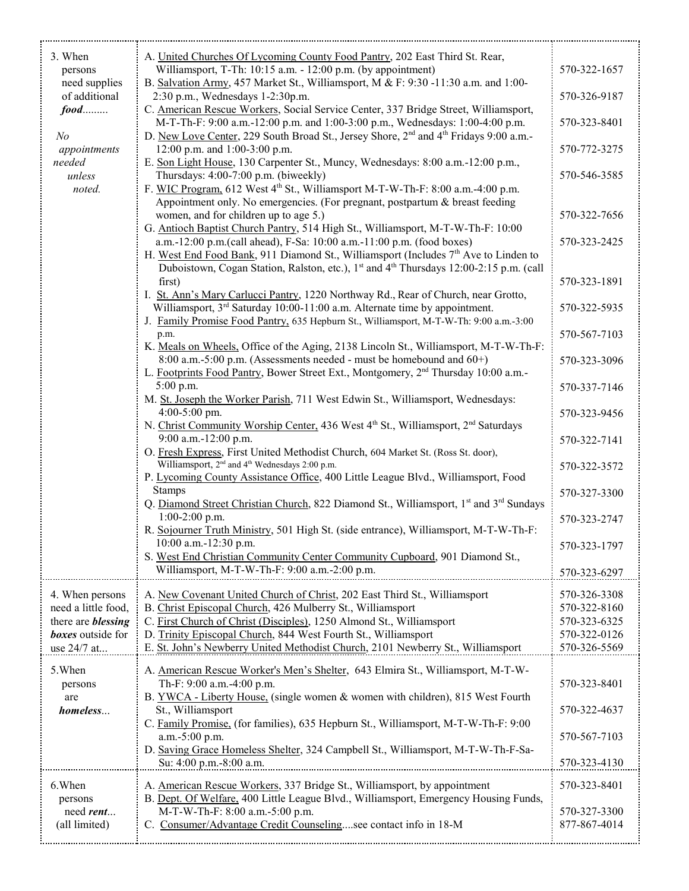| 3. When<br>persons<br>need supplies     | A. United Churches Of Lycoming County Food Pantry, 202 East Third St. Rear,<br>Williamsport, T-Th: 10:15 a.m. - 12:00 p.m. (by appointment)<br>B. Salvation Army, 457 Market St., Williamsport, M & F: 9:30 -11:30 a.m. and 1:00- | 570-322-1657                 |
|-----------------------------------------|-----------------------------------------------------------------------------------------------------------------------------------------------------------------------------------------------------------------------------------|------------------------------|
| of additional                           | 2:30 p.m., Wednesdays 1-2:30p.m.<br>C. American Rescue Workers, Social Service Center, 337 Bridge Street, Williamsport,                                                                                                           | 570-326-9187                 |
| $food$<br>N <sub>o</sub>                | M-T-Th-F: 9:00 a.m.-12:00 p.m. and 1:00-3:00 p.m., Wednesdays: 1:00-4:00 p.m.<br>D. New Love Center, 229 South Broad St., Jersey Shore, 2 <sup>nd</sup> and 4 <sup>th</sup> Fridays 9:00 a.m.-                                    | 570-323-8401                 |
| appointments<br>needed                  | 12:00 p.m. and 1:00-3:00 p.m.<br>E. Son Light House, 130 Carpenter St., Muncy, Wednesdays: 8:00 a.m.-12:00 p.m.,                                                                                                                  | 570-772-3275                 |
| unless<br>noted.                        | Thursdays: 4:00-7:00 p.m. (biweekly)<br>F. WIC Program, 612 West 4 <sup>th</sup> St., Williamsport M-T-W-Th-F: 8:00 a.m.-4:00 p.m.                                                                                                | 570-546-3585                 |
|                                         | Appointment only. No emergencies. (For pregnant, postpartum $\&$ breast feeding<br>women, and for children up to age 5.)                                                                                                          | 570-322-7656                 |
|                                         | G. Antioch Baptist Church Pantry, 514 High St., Williamsport, M-T-W-Th-F: 10:00<br>a.m.-12:00 p.m.(call ahead), F-Sa: 10:00 a.m.-11:00 p.m. (food boxes)                                                                          | 570-323-2425                 |
|                                         | H. West End Food Bank, 911 Diamond St., Williamsport (Includes 7 <sup>th</sup> Ave to Linden to<br>Duboistown, Cogan Station, Ralston, etc.), 1 <sup>st</sup> and 4 <sup>th</sup> Thursdays 12:00-2:15 p.m. (call                 | 570-323-1891                 |
|                                         | first)<br>I. St. Ann's Mary Carlucci Pantry, 1220 Northway Rd., Rear of Church, near Grotto,                                                                                                                                      |                              |
|                                         | Williamsport, 3 <sup>rd</sup> Saturday 10:00-11:00 a.m. Alternate time by appointment.<br>J. Family Promise Food Pantry, 635 Hepburn St., Williamsport, M-T-W-Th: 9:00 a.m.-3:00                                                  | 570-322-5935                 |
|                                         | p.m.<br>K. Meals on Wheels, Office of the Aging, 2138 Lincoln St., Williamsport, M-T-W-Th-F:<br>8:00 a.m.-5:00 p.m. (Assessments needed - must be homebound and 60+)                                                              | 570-567-7103                 |
|                                         | L. Footprints Food Pantry, Bower Street Ext., Montgomery, 2 <sup>nd</sup> Thursday 10:00 a.m.-                                                                                                                                    | 570-323-3096                 |
|                                         | 5:00 p.m.<br>M. St. Joseph the Worker Parish, 711 West Edwin St., Williamsport, Wednesdays:                                                                                                                                       | 570-337-7146                 |
|                                         | 4:00-5:00 pm.<br>N. Christ Community Worship Center, 436 West 4th St., Williamsport, 2 <sup>nd</sup> Saturdays                                                                                                                    | 570-323-9456                 |
|                                         | 9:00 a.m.-12:00 p.m.<br>O. Fresh Express, First United Methodist Church, 604 Market St. (Ross St. door),                                                                                                                          | 570-322-7141                 |
|                                         | Williamsport, 2 <sup>nd</sup> and 4 <sup>th</sup> Wednesdays 2:00 p.m.<br>P. Lycoming County Assistance Office, 400 Little League Blvd., Williamsport, Food                                                                       | 570-322-3572                 |
|                                         | <b>Stamps</b><br>Q. Diamond Street Christian Church, 822 Diamond St., Williamsport, 1 <sup>st</sup> and 3 <sup>rd</sup> Sundays                                                                                                   | 570-327-3300                 |
|                                         | $1:00-2:00$ p.m.<br>R. Sojourner Truth Ministry, 501 High St. (side entrance), Williamsport, M-T-W-Th-F:                                                                                                                          | 570-323-2747                 |
|                                         | 10:00 a.m.-12:30 p.m.<br>S. West End Christian Community Center Community Cupboard, 901 Diamond St.,                                                                                                                              | 570-323-1797                 |
|                                         | Williamsport, M-T-W-Th-F: 9:00 a.m.-2:00 p.m.                                                                                                                                                                                     | 570-323-6297                 |
| 4. When persons<br>need a little food,  | A. New Covenant United Church of Christ, 202 East Third St., Williamsport<br>B. Christ Episcopal Church, 426 Mulberry St., Williamsport                                                                                           | 570-326-3308<br>570-322-8160 |
| there are <i>blessing</i>               | C. First Church of Christ (Disciples), 1250 Almond St., Williamsport                                                                                                                                                              | 570-323-6325                 |
| <b>boxes</b> outside for<br>use 24/7 at | D. Trinity Episcopal Church, 844 West Fourth St., Williamsport<br>E. St. John's Newberry United Methodist Church, 2101 Newberry St., Williamsport                                                                                 | 570-322-0126<br>570-326-5569 |
| 5. When                                 | A. American Rescue Worker's Men's Shelter, 643 Elmira St., Williamsport, M-T-W-<br>Th-F: 9:00 a.m.-4:00 p.m.                                                                                                                      |                              |
| persons<br>are                          | B. YWCA - Liberty House, (single women & women with children), 815 West Fourth                                                                                                                                                    | 570-323-8401                 |
| homeless                                | St., Williamsport<br>C. Family Promise, (for families), 635 Hepburn St., Williamsport, M-T-W-Th-F: 9:00                                                                                                                           | 570-322-4637                 |
|                                         | a.m.-5:00 p.m.<br>D. Saving Grace Homeless Shelter, 324 Campbell St., Williamsport, M-T-W-Th-F-Sa-                                                                                                                                | 570-567-7103                 |
|                                         | Su: 4:00 p.m.-8:00 a.m.                                                                                                                                                                                                           | 570-323-4130                 |
| 6. When<br>persons                      | A. American Rescue Workers, 337 Bridge St., Williamsport, by appointment<br>B. Dept. Of Welfare, 400 Little League Blvd., Williamsport, Emergency Housing Funds,                                                                  | 570-323-8401                 |
| need rent<br>(all limited)              | M-T-W-Th-F: 8:00 a.m.-5:00 p.m.<br>C. Consumer/Advantage Credit Counselingsee contact info in 18-M                                                                                                                                | 570-327-3300<br>877-867-4014 |
|                                         |                                                                                                                                                                                                                                   |                              |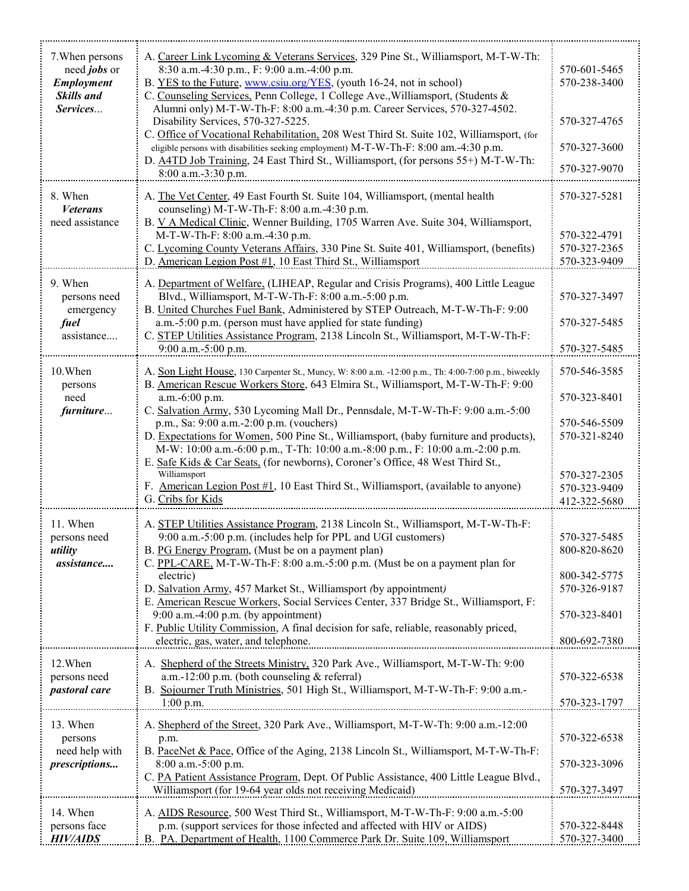| 7. When persons<br>need jobs or<br><b>Employment</b><br><b>Skills</b> and<br>Services | A. Career Link Lycoming & Veterans Services, 329 Pine St., Williamsport, M-T-W-Th:<br>8:30 a.m. -4:30 p.m., F: 9:00 a.m. -4:00 p.m.<br>B. YES to the Future, www.csiu.org/YES, (youth 16-24, not in school)<br>C. Counseling Services, Penn College, 1 College Ave., Williamsport, (Students &<br>Alumni only) M-T-W-Th-F: 8:00 a.m.-4:30 p.m. Career Services, 570-327-4502.<br>Disability Services, 570-327-5225.<br>C. Office of Vocational Rehabilitation, 208 West Third St. Suite 102, Williamsport, (for<br>eligible persons with disabilities seeking employment) M-T-W-Th-F: 8:00 am.-4:30 p.m.<br>D. A4TD Job Training, 24 East Third St., Williamsport, (for persons 55+) M-T-W-Th:<br>8:00 a.m.-3:30 p.m.             | 570-601-5465<br>570-238-3400<br>570-327-4765<br>570-327-3600<br>570-327-9070                                 |
|---------------------------------------------------------------------------------------|-----------------------------------------------------------------------------------------------------------------------------------------------------------------------------------------------------------------------------------------------------------------------------------------------------------------------------------------------------------------------------------------------------------------------------------------------------------------------------------------------------------------------------------------------------------------------------------------------------------------------------------------------------------------------------------------------------------------------------------|--------------------------------------------------------------------------------------------------------------|
| 8. When<br><b>Veterans</b><br>need assistance                                         | A. The Vet Center, 49 East Fourth St. Suite 104, Williamsport, (mental health<br>counseling) M-T-W-Th-F: 8:00 a.m.-4:30 p.m.<br>B. V A Medical Clinic, Wenner Building, 1705 Warren Ave. Suite 304, Williamsport,<br>M-T-W-Th-F: 8:00 a.m.-4:30 p.m.<br>C. Lycoming County Veterans Affairs, 330 Pine St. Suite 401, Williamsport, (benefits)<br>D. American Legion Post #1, 10 East Third St., Williamsport                                                                                                                                                                                                                                                                                                                      | 570-327-5281<br>570-322-4791<br>570-327-2365<br>570-323-9409                                                 |
| 9. When<br>persons need<br>emergency<br>fuel<br>assistance                            | A. Department of Welfare, (LIHEAP, Regular and Crisis Programs), 400 Little League<br>Blvd., Williamsport, M-T-W-Th-F: 8:00 a.m.-5:00 p.m.<br>B. United Churches Fuel Bank, Administered by STEP Outreach, M-T-W-Th-F: 9:00<br>a.m.-5:00 p.m. (person must have applied for state funding)<br>C. STEP Utilities Assistance Program, 2138 Lincoln St., Williamsport, M-T-W-Th-F:<br>9:00 a.m.-5:00 p.m.                                                                                                                                                                                                                                                                                                                            | 570-327-3497<br>570-327-5485<br>570-327-5485                                                                 |
| 10. When<br>persons<br>need<br>furniture                                              | A. Son Light House, 130 Carpenter St., Muncy, W: 8:00 a.m. -12:00 p.m., Th: 4:00-7:00 p.m., biweekly<br>B. American Rescue Workers Store, 643 Elmira St., Williamsport, M-T-W-Th-F: 9:00<br>a.m.-6:00 p.m.<br>C. Salvation Army, 530 Lycoming Mall Dr., Pennsdale, M-T-W-Th-F: 9:00 a.m.-5:00<br>p.m., Sa: 9:00 a.m.-2:00 p.m. (vouchers)<br>D. Expectations for Women, 500 Pine St., Williamsport, (baby furniture and products),<br>M-W: 10:00 a.m.-6:00 p.m., T-Th: 10:00 a.m.-8:00 p.m., F: 10:00 a.m.-2:00 p.m.<br>E. Safe Kids & Car Seats, (for newborns), Coroner's Office, 48 West Third St.,<br>Williamsport<br>F. American Legion Post #1, 10 East Third St., Williamsport, (available to anyone)<br>G. Cribs for Kids | 570-546-3585<br>570-323-8401<br>570-546-5509<br>570-321-8240<br>570-327-2305<br>570-323-9409<br>412-322-5680 |
| 11. When<br>persons need<br>utility<br>assistance                                     | A. STEP Utilities Assistance Program, 2138 Lincoln St., Williamsport, M-T-W-Th-F:<br>9:00 a.m.-5:00 p.m. (includes help for PPL and UGI customers)<br>B. PG Energy Program, (Must be on a payment plan)<br>C. PPL-CARE, M-T-W-Th-F: 8:00 a.m.-5:00 p.m. (Must be on a payment plan for<br>electric)<br>D. Salvation Army, 457 Market St., Williamsport (by appointment)<br>E. American Rescue Workers, Social Services Center, 337 Bridge St., Williamsport, F:<br>$9:00$ a.m.-4:00 p.m. (by appointment)<br>F. Public Utility Commission, A final decision for safe, reliable, reasonably priced,<br>electric, gas, water, and telephone.                                                                                        | 570-327-5485<br>800-820-8620<br>800-342-5775<br>570-326-9187<br>570-323-8401<br>800-692-7380                 |
| 12. When<br>persons need<br>pastoral care                                             | A. Shepherd of the Streets Ministry, 320 Park Ave., Williamsport, M-T-W-Th: 9:00<br>a.m.-12:00 p.m. (both counseling & referral)<br>B. Sojourner Truth Ministries, 501 High St., Williamsport, M-T-W-Th-F: 9:00 a.m.-<br>1:00 p.m.                                                                                                                                                                                                                                                                                                                                                                                                                                                                                                | 570-322-6538<br>570-323-1797                                                                                 |
| 13. When<br>persons<br>need help with<br>prescriptions                                | A. Shepherd of the Street, 320 Park Ave., Williamsport, M-T-W-Th: 9:00 a.m.-12:00<br>p.m.<br>B. PaceNet & Pace, Office of the Aging, 2138 Lincoln St., Williamsport, M-T-W-Th-F:<br>8:00 a.m.-5:00 p.m.<br>C. PA Patient Assistance Program, Dept. Of Public Assistance, 400 Little League Blvd.,<br>Williamsport (for 19-64 year olds not receiving Medicaid)                                                                                                                                                                                                                                                                                                                                                                    | 570-322-6538<br>570-323-3096<br>570-327-3497                                                                 |
| 14. When<br>persons face<br><b>HIV/AIDS</b>                                           | A. AIDS Resource, 500 West Third St., Williamsport, M-T-W-Th-F: 9:00 a.m.-5:00<br>p.m. (support services for those infected and affected with HIV or AIDS)<br>B. PA. Department of Health, 1100 Commerce Park Dr. Suite 109, Williamsport                                                                                                                                                                                                                                                                                                                                                                                                                                                                                         | 570-322-8448<br>570-327-3400                                                                                 |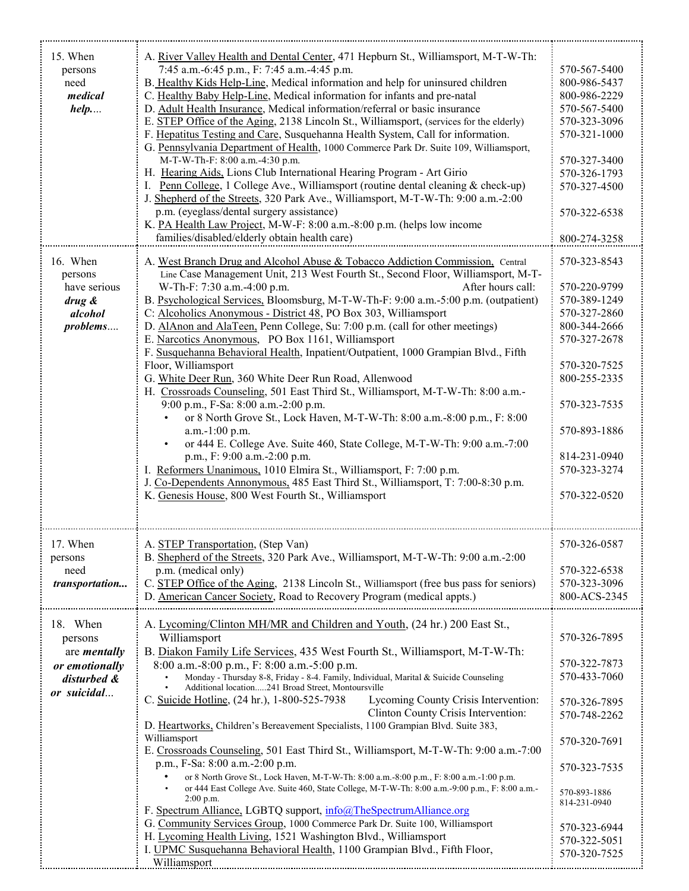| 15. When<br>persons<br>need<br>medical<br>help<br>16. When<br>persons<br>have serious<br>drug &<br>alcohol<br>problems | A. River Valley Health and Dental Center, 471 Hepburn St., Williamsport, M-T-W-Th:<br>7:45 a.m.-6:45 p.m., F: 7:45 a.m.-4:45 p.m.<br>B. Healthy Kids Help-Line, Medical information and help for uninsured children<br>C. Healthy Baby Help-Line, Medical information for infants and pre-natal<br>D. Adult Health Insurance, Medical information/referral or basic insurance<br>E. STEP Office of the Aging, 2138 Lincoln St., Williamsport, (services for the elderly)<br>F. Hepatitus Testing and Care, Susquehanna Health System, Call for information.<br>G. Pennsylvania Department of Health, 1000 Commerce Park Dr. Suite 109, Williamsport,<br>M-T-W-Th-F: 8:00 a.m.-4:30 p.m.<br>H. Hearing Aids, Lions Club International Hearing Program - Art Girio<br>I. Penn College, 1 College Ave., Williamsport (routine dental cleaning & check-up)<br>J. Shepherd of the Streets, 320 Park Ave., Williamsport, M-T-W-Th: 9:00 a.m.-2:00<br>p.m. (eyeglass/dental surgery assistance)<br>K. PA Health Law Project, M-W-F: 8:00 a.m.-8:00 p.m. (helps low income<br>families/disabled/elderly obtain health care)<br>A. West Branch Drug and Alcohol Abuse & Tobacco Addiction Commission, Central<br>Line Case Management Unit, 213 West Fourth St., Second Floor, Williamsport, M-T-<br>W-Th-F: 7:30 a.m.-4:00 p.m.<br>After hours call:<br>B. Psychological Services, Bloomsburg, M-T-W-Th-F: 9:00 a.m.-5:00 p.m. (outpatient)<br>C: Alcoholics Anonymous - District 48, PO Box 303, Williamsport<br>D. AlAnon and AlaTeen, Penn College, Su: 7:00 p.m. (call for other meetings)<br>E. Narcotics Anonymous, PO Box 1161, Williamsport<br>F. Susquehanna Behavioral Health, Inpatient/Outpatient, 1000 Grampian Blvd., Fifth<br>Floor, Williamsport<br>G. White Deer Run, 360 White Deer Run Road, Allenwood<br>H. Crossroads Counseling, 501 East Third St., Williamsport, M-T-W-Th: 8:00 a.m.-<br>9:00 p.m., F-Sa: 8:00 a.m.-2:00 p.m.<br>or 8 North Grove St., Lock Haven, M-T-W-Th: 8:00 a.m.-8:00 p.m., F: 8:00<br>a.m.-1:00 p.m.<br>or 444 E. College Ave. Suite 460, State College, M-T-W-Th: 9:00 a.m.-7:00<br>p.m., F: 9:00 a.m.-2:00 p.m.<br>I. Reformers Unanimous, 1010 Elmira St., Williamsport, F: 7:00 p.m.<br>J. Co-Dependents Annonymous, 485 East Third St., Williamsport, T: 7:00-8:30 p.m.<br>K. Genesis House, 800 West Fourth St., Williamsport | 570-567-5400<br>800-986-5437<br>800-986-2229<br>570-567-5400<br>570-323-3096<br>570-321-1000<br>570-327-3400<br>570-326-1793<br>570-327-4500<br>570-322-6538<br>800-274-3258<br>570-323-8543<br>570-220-9799<br>570-389-1249<br>570-327-2860<br>800-344-2666<br>570-327-2678<br>570-320-7525<br>800-255-2335<br>570-323-7535<br>570-893-1886<br>814-231-0940<br>570-323-3274<br>570-322-0520 |
|------------------------------------------------------------------------------------------------------------------------|----------------------------------------------------------------------------------------------------------------------------------------------------------------------------------------------------------------------------------------------------------------------------------------------------------------------------------------------------------------------------------------------------------------------------------------------------------------------------------------------------------------------------------------------------------------------------------------------------------------------------------------------------------------------------------------------------------------------------------------------------------------------------------------------------------------------------------------------------------------------------------------------------------------------------------------------------------------------------------------------------------------------------------------------------------------------------------------------------------------------------------------------------------------------------------------------------------------------------------------------------------------------------------------------------------------------------------------------------------------------------------------------------------------------------------------------------------------------------------------------------------------------------------------------------------------------------------------------------------------------------------------------------------------------------------------------------------------------------------------------------------------------------------------------------------------------------------------------------------------------------------------------------------------------------------------------------------------------------------------------------------------------------------------------------------------------------------------------------------------------------------------------------------------------------------------------------------------------------------------------------------------------------------------------------------------------------------------------------------------------------|----------------------------------------------------------------------------------------------------------------------------------------------------------------------------------------------------------------------------------------------------------------------------------------------------------------------------------------------------------------------------------------------|
| 17. When<br>persons<br>need<br>transportation                                                                          | A. STEP Transportation, (Step Van)<br>B. Shepherd of the Streets, 320 Park Ave., Williamsport, M-T-W-Th: 9:00 a.m.-2:00<br>p.m. (medical only)<br>C. STEP Office of the Aging, 2138 Lincoln St., Williamsport (free bus pass for seniors)<br>D. American Cancer Society, Road to Recovery Program (medical appts.)                                                                                                                                                                                                                                                                                                                                                                                                                                                                                                                                                                                                                                                                                                                                                                                                                                                                                                                                                                                                                                                                                                                                                                                                                                                                                                                                                                                                                                                                                                                                                                                                                                                                                                                                                                                                                                                                                                                                                                                                                                                         | 570-326-0587<br>570-322-6538<br>570-323-3096<br>800-ACS-2345                                                                                                                                                                                                                                                                                                                                 |
| 18. When<br>persons<br>are <i>mentally</i><br>or emotionally<br>disturbed &<br>or suicidal                             | A. Lycoming/Clinton MH/MR and Children and Youth, (24 hr.) 200 East St.,<br>Williamsport<br>B. Diakon Family Life Services, 435 West Fourth St., Williamsport, M-T-W-Th:<br>8:00 a.m.-8:00 p.m., F: 8:00 a.m.-5:00 p.m.<br>Monday - Thursday 8-8, Friday - 8-4. Family, Individual, Marital & Suicide Counseling<br>Additional location241 Broad Street, Montoursville<br>C. Suicide Hotline, (24 hr.), 1-800-525-7938<br>Lycoming County Crisis Intervention:<br>Clinton County Crisis Intervention:<br>D. Heartworks, Children's Bereavement Specialists, 1100 Grampian Blvd. Suite 383,<br>Williamsport<br>E. Crossroads Counseling, 501 East Third St., Williamsport, M-T-W-Th: 9:00 a.m.-7:00<br>p.m., F-Sa: 8:00 a.m.-2:00 p.m.<br>or 8 North Grove St., Lock Haven, M-T-W-Th: 8:00 a.m.-8:00 p.m., F: 8:00 a.m.-1:00 p.m.<br>or 444 East College Ave. Suite 460, State College, M-T-W-Th: 8:00 a.m.-9:00 p.m., F: 8:00 a.m.-<br>2:00 p.m.<br>F. Spectrum Alliance, LGBTQ support, info@TheSpectrumAlliance.org<br>G. Community Services Group, 1000 Commerce Park Dr. Suite 100, Williamsport<br>H. Lycoming Health Living, 1521 Washington Blvd., Williamsport<br>I. UPMC Susquehanna Behavioral Health, 1100 Grampian Blvd., Fifth Floor,<br>Williamsport                                                                                                                                                                                                                                                                                                                                                                                                                                                                                                                                                                                                                                                                                                                                                                                                                                                                                                                                                                                                                                                                                                         | 570-326-7895<br>570-322-7873<br>570-433-7060<br>570-326-7895<br>570-748-2262<br>570-320-7691<br>570-323-7535<br>570-893-1886<br>814-231-0940<br>570-323-6944<br>570-322-5051<br>570-320-7525                                                                                                                                                                                                 |